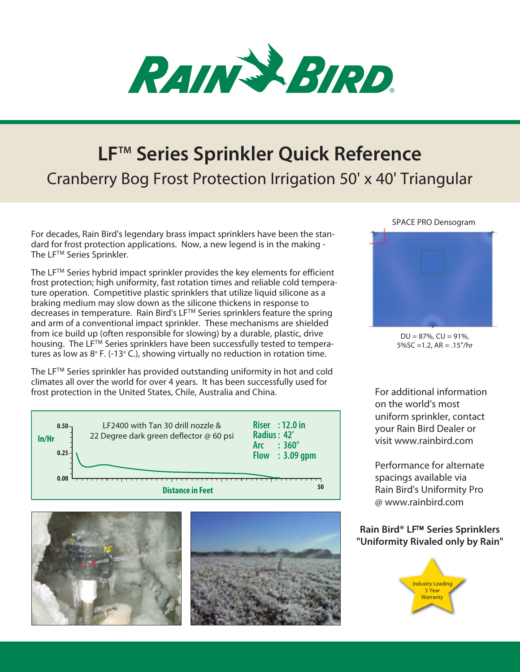

# **LFTM Series Sprinkler Quick Reference**

Cranberry Bog Frost Protection Irrigation 50' x 40' Triangular

For decades, Rain Bird's legendary brass impact sprinklers have been the standard for frost protection applications. Now, a new legend is in the making - The LF™ Series Sprinkler.

The  $LF^{TM}$  Series hybrid impact sprinkler provides the key elements for efficient frost protection; high uniformity, fast rotation times and reliable cold temperature operation. Competitive plastic sprinklers that utilize liquid silicone as a braking medium may slow down as the silicone thickens in response to decreases in temperature. Rain Bird's LF™ Series sprinklers feature the spring and arm of a conventional impact sprinkler. These mechanisms are shielded from ice build up (often responsible for slowing) by a durable, plastic, drive housing. The LF<sup>TM</sup> Series sprinklers have been successfully tested to temperatures as low as  $8^{\circ}$  F. (-13 $^{\circ}$  C.), showing virtually no reduction in rotation time.

The  $LF^{TM}$  Series sprinkler has provided outstanding uniformity in hot and cold climates all over the world for over 4 years. It has been successfully used for frost protection in the United States, Chile, Australia and China.







SPACE PRO Densogram



 $DU = 87\%$ ,  $CU = 91\%$ , 5%SC =1.2, AR = .15"/hr

For additional information on the world's most uniform sprinkler, contact your Rain Bird Dealer or visit www.rainbird.com

Performance for alternate spacings available via Rain Bird's Uniformity Pro @ www.rainbird.com

#### **Rain Bird® LF Series Sprinklers "Uniformity Rivaled only by Rain"**

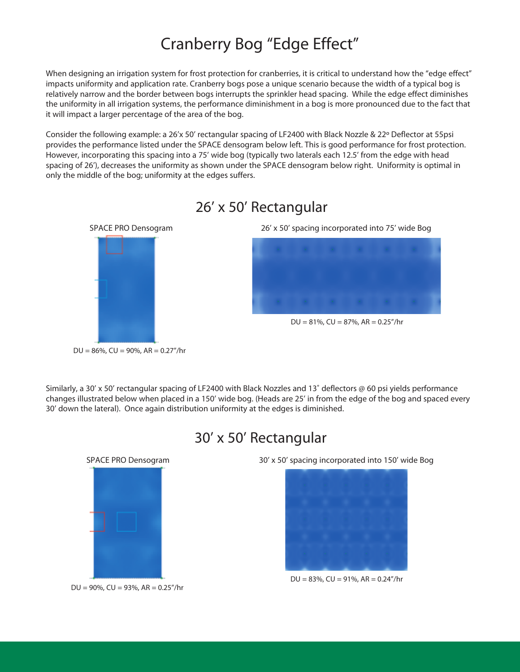## Cranberry Bog "Edge Effect"

When designing an irrigation system for frost protection for cranberries, it is critical to understand how the "edge effect" impacts uniformity and application rate. Cranberry bogs pose a unique scenario because the width of a typical bog is relatively narrow and the border between bogs interrupts the sprinkler head spacing. While the edge effect diminishes the uniformity in all irrigation systems, the performance diminishment in a bog is more pronounced due to the fact that it will impact a larger percentage of the area of the bog.

Consider the following example: a 26'x 50' rectangular spacing of LF2400 with Black Nozzle & 22º Deflector at 55psi provides the performance listed under the SPACE densogram below left. This is good performance for frost protection. However, incorporating this spacing into a 75' wide bog (typically two laterals each 12.5' from the edge with head spacing of 26'), decreases the uniformity as shown under the SPACE densogram below right. Uniformity is optimal in only the middle of the bog; uniformity at the edges suffers.



### 26' x 50' Rectangular

Similarly, a 30' x 50' rectangular spacing of LF2400 with Black Nozzles and 13° deflectors @ 60 psi yields performance changes illustrated below when placed in a 150' wide bog. (Heads are 25' in from the edge of the bog and spaced every 30' down the lateral). Once again distribution uniformity at the edges is diminished.



### 30' x 50' Rectangular

30' x 50' spacing incorporated into 150' wide Bog



 $DU = 83\%$ ,  $CU = 91\%$ ,  $AR = 0.24''/hr$ 

 $DU = 90\%$ ,  $CU = 93\%$ ,  $AR = 0.25''/hr$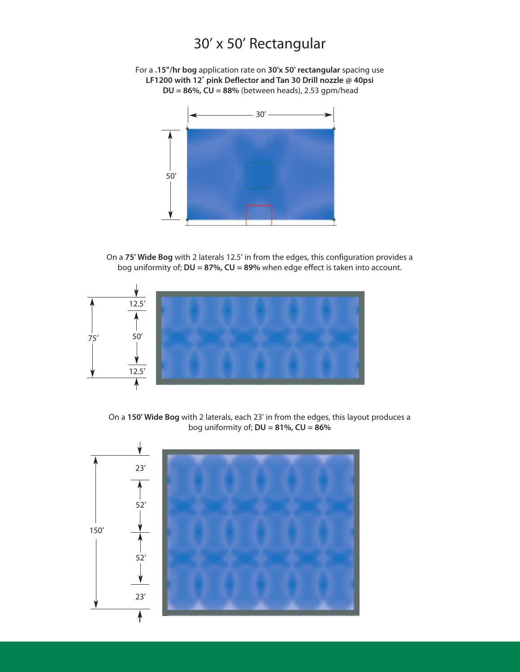### 30' x 50' Rectangular

For a **.15"/hr bog** application rate on **30'x 50' rectangular** spacing use **LF1200 with 12˚ pink Deflector and Tan 30 Drill nozzle @ 40psi DU = 86%, CU = 88%** (between heads), 2.53 gpm/head



On a **75' Wide Bog** with 2 laterals 12.5' in from the edges, this configuration provides a bog uniformity of; **DU = 87%, CU = 89%** when edge effect is taken into account.



On a **150' Wide Bog** with 2 laterals, each 23' in from the edges, this layout produces a bog uniformity of; **DU = 81%, CU = 86%**